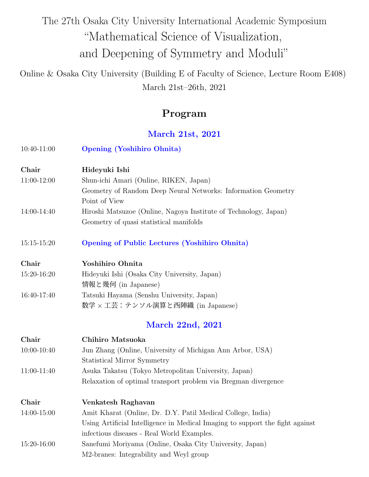# The 27th Osaka City University International Academic Symposium "Mathematical Science of Visualization, and Deepening of Symmetry and Moduli"

Online & Osaka City University (Building E of Faculty of Science, Lecture Room E408) March 21st–26th, 2021

## **Program**

### **March 21st, 2021**

| 10:40-11:00     | <b>Opening (Yoshihiro Ohnita)</b>                                             |
|-----------------|-------------------------------------------------------------------------------|
| Chair           | Hideyuki Ishi                                                                 |
| 11:00-12:00     | Shun-ichi Amari (Online, RIKEN, Japan)                                        |
|                 | Geometry of Random Deep Neural Networks: Information Geometry                 |
|                 | Point of View                                                                 |
| 14:00-14:40     | Hiroshi Matsuzoe (Online, Nagoya Institute of Technology, Japan)              |
|                 | Geometry of quasi statistical manifolds                                       |
| 15:15-15:20     | <b>Opening of Public Lectures (Yoshihiro Ohnita)</b>                          |
| Chair           | Yoshihiro Ohnita                                                              |
| 15:20-16:20     | Hideyuki Ishi (Osaka City University, Japan)                                  |
|                 | 情報と幾何 (in Japanese)                                                           |
| 16:40-17:40     | Tatsuki Hayama (Senshu University, Japan)                                     |
|                 | 数学 × 工芸:テンソル演算と西陣織 (in Japanese)                                              |
|                 | <b>March 22nd, 2021</b>                                                       |
| Chair           | Chihiro Matsuoka                                                              |
| 10:00-10:40     | Jun Zhang (Online, University of Michigan Ann Arbor, USA)                     |
|                 | Statistical Mirror Symmetry                                                   |
| 11:00-11:40     | Asuka Takatsu (Tokyo Metropolitan University, Japan)                          |
|                 | Relaxation of optimal transport problem via Bregman divergence                |
| Chair           | Venkatesh Raghavan                                                            |
| $14:00 - 15:00$ | Amit Kharat (Online, Dr. D.Y. Patil Medical College, India)                   |
|                 | Using Artificial Intelligence in Medical Imaging to support the fight against |
|                 | infectious diseases - Real World Examples.                                    |
| 15:20-16:00     | Sanefumi Moriyama (Online, Osaka City University, Japan)                      |
|                 | M2-branes: Integrability and Weyl group                                       |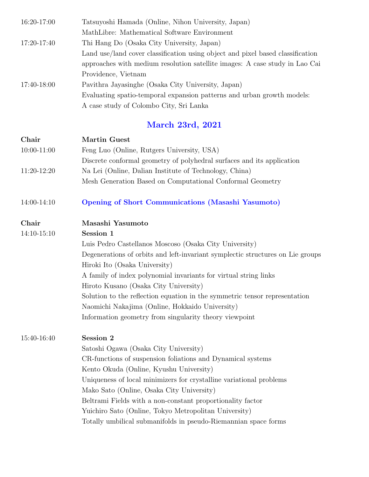| Tatsuyoshi Hamada (Online, Nihon University, Japan)                            |
|--------------------------------------------------------------------------------|
| MathLibre: Mathematical Software Environment                                   |
| Thi Hang Do (Osaka City University, Japan)                                     |
| Land use/land cover classification using object and pixel based classification |
| approaches with medium resolution satellite images: A case study in Lao Cai    |
| Providence, Vietnam                                                            |
| Pavithra Jayasinghe (Osaka City University, Japan)                             |
| Evaluating spatio-temporal expansion patterns and urban growth models:         |
| A case study of Colombo City, Sri Lanka                                        |
|                                                                                |

# **March 23rd, 2021**

| Chair           | <b>Martin Guest</b>                                                            |
|-----------------|--------------------------------------------------------------------------------|
| $10:00 - 11:00$ | Feng Luo (Online, Rutgers University, USA)                                     |
|                 | Discrete conformal geometry of polyhedral surfaces and its application         |
| 11:20-12:20     | Na Lei (Online, Dalian Institute of Technology, China)                         |
|                 | Mesh Generation Based on Computational Conformal Geometry                      |
| 14:00-14:10     | <b>Opening of Short Communications (Masashi Yasumoto)</b>                      |
| Chair           | Masashi Yasumoto                                                               |
| 14:10-15:10     | Session 1                                                                      |
|                 | Luis Pedro Castellanos Moscoso (Osaka City University)                         |
|                 | Degenerations of orbits and left-invariant symplectic structures on Lie groups |
|                 | Hiroki Ito (Osaka University)                                                  |
|                 | A family of index polynomial invariants for virtual string links               |
|                 | Hiroto Kusano (Osaka City University)                                          |
|                 | Solution to the reflection equation in the symmetric tensor representation     |
|                 | Naomichi Nakajima (Online, Hokkaido University)                                |
|                 | Information geometry from singularity theory viewpoint                         |
| 15:40-16:40     | Session 2                                                                      |
|                 | Satoshi Ogawa (Osaka City University)                                          |
|                 | CR-functions of suspension foliations and Dynamical systems                    |
|                 | Kento Okuda (Online, Kyushu University)                                        |
|                 | Uniqueness of local minimizers for crystalline variational problems            |
|                 | Mako Sato (Online, Osaka City University)                                      |
|                 | Beltrami Fields with a non-constant proportionality factor                     |
|                 | Yuichiro Sato (Online, Tokyo Metropolitan University)                          |
|                 | Totally umbilical submanifolds in pseudo-Riemannian space forms                |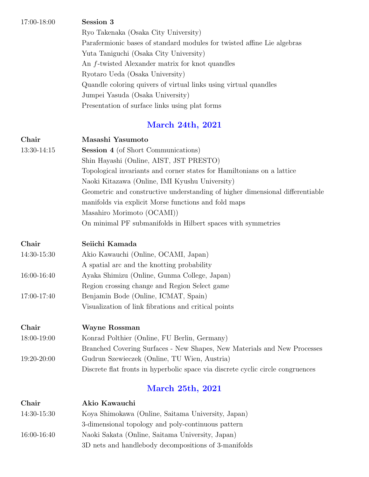17:00-18:00 **Session 3** Ryo Takenaka (Osaka City University) Parafermionic bases of standard modules for twisted affine Lie algebras Yuta Taniguchi (Osaka City University) An *f*-twisted Alexander matrix for knot quandles Ryotaro Ueda (Osaka University) Quandle coloring quivers of virtual links using virtual quandles Jumpei Yasuda (Osaka University) Presentation of surface links using plat forms

### **March 24th, 2021**

| Chair<br>13:30-14:15 | Masashi Yasumoto<br><b>Session 4</b> (of Short Communications)<br>Shin Hayashi (Online, AIST, JST PRESTO)<br>Topological invariants and corner states for Hamiltonians on a lattice<br>Naoki Kitazawa (Online, IMI Kyushu University)<br>Geometric and constructive understanding of higher dimensional differentiable<br>manifolds via explicit Morse functions and fold maps<br>Masahiro Morimoto (OCAMI)) |
|----------------------|--------------------------------------------------------------------------------------------------------------------------------------------------------------------------------------------------------------------------------------------------------------------------------------------------------------------------------------------------------------------------------------------------------------|
|                      | On minimal PF submanifolds in Hilbert spaces with symmetries                                                                                                                                                                                                                                                                                                                                                 |
| Chair                | Seiichi Kamada                                                                                                                                                                                                                                                                                                                                                                                               |
| 14:30-15:30          | Akio Kawauchi (Online, OCAMI, Japan)                                                                                                                                                                                                                                                                                                                                                                         |
|                      | A spatial arc and the knotting probability                                                                                                                                                                                                                                                                                                                                                                   |
| 16:00-16:40          | Ayaka Shimizu (Online, Gunma College, Japan)                                                                                                                                                                                                                                                                                                                                                                 |
|                      | Region crossing change and Region Select game                                                                                                                                                                                                                                                                                                                                                                |
| 17:00-17:40          | Benjamin Bode (Online, ICMAT, Spain)                                                                                                                                                                                                                                                                                                                                                                         |
|                      | Visualization of link fibrations and critical points                                                                                                                                                                                                                                                                                                                                                         |
| Chair                | Wayne Rossman                                                                                                                                                                                                                                                                                                                                                                                                |
| 18:00-19:00          | Konrad Polthier (Online, FU Berlin, Germany)                                                                                                                                                                                                                                                                                                                                                                 |
|                      | Branched Covering Surfaces - New Shapes, New Materials and New Processes                                                                                                                                                                                                                                                                                                                                     |
| 19:20-20:00          | Gudrun Szewieczek (Online, TU Wien, Austria)                                                                                                                                                                                                                                                                                                                                                                 |
|                      | Discrete flat fronts in hyperbolic space via discrete cyclic circle congruences                                                                                                                                                                                                                                                                                                                              |
|                      | <b>March 25th, 2021</b>                                                                                                                                                                                                                                                                                                                                                                                      |
| Chair                | Akio Kawauchi                                                                                                                                                                                                                                                                                                                                                                                                |
| 14:30-15:30          | Koya Shimokawa (Online, Saitama University, Japan)                                                                                                                                                                                                                                                                                                                                                           |

- 3-dimensional topology and poly-continuous pattern 16:00-16:40 Naoki Sakata (Online, Saitama University, Japan)
	- 3D nets and handlebody decompositions of 3-manifolds